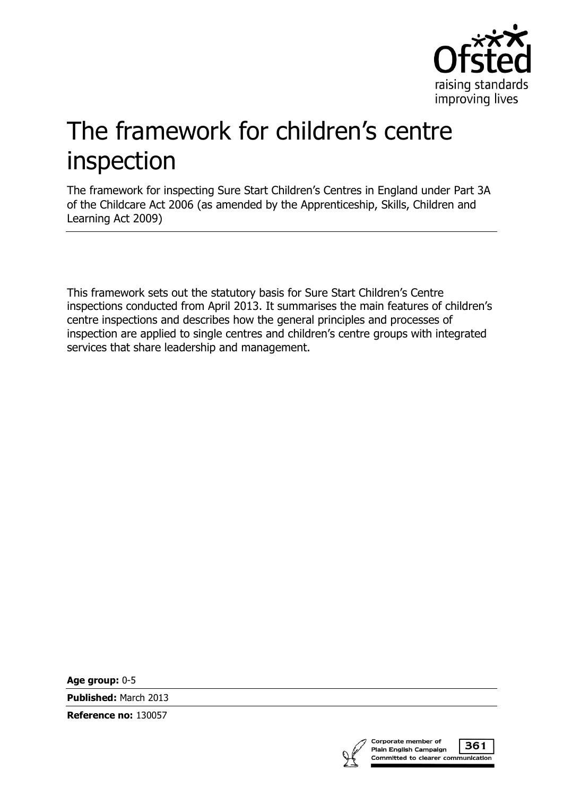

# The framework for children's centre inspection

The framework for inspecting Sure Start Children's Centres in England under Part 3A of the Childcare Act 2006 (as amended by the Apprenticeship, Skills, Children and Learning Act 2009)

This framework sets out the statutory basis for Sure Start Children's Centre inspections conducted from April 2013. It summarises the main features of children's centre inspections and describes how the general principles and processes of inspection are applied to single centres and children's centre groups with integrated services that share leadership and management.

**Age group:** 0-5

**Published:** March 2013

**Reference no:** 130057



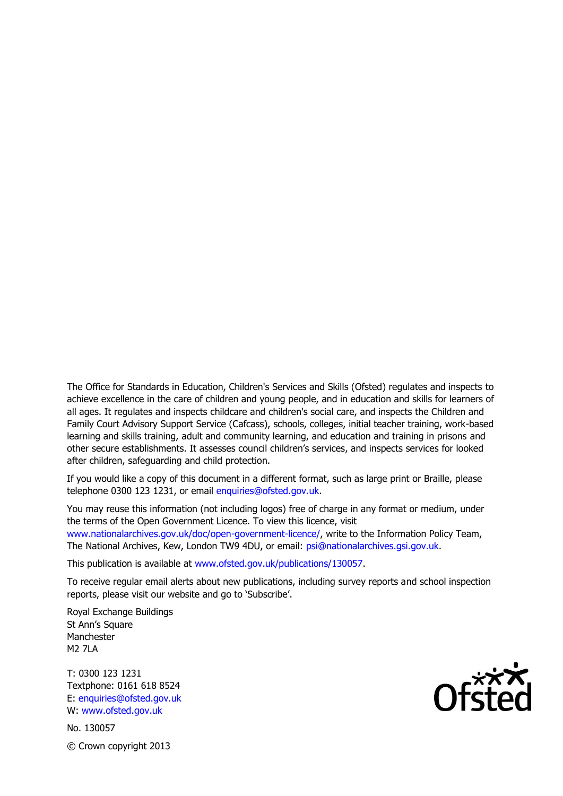The Office for Standards in Education, Children's Services and Skills (Ofsted) regulates and inspects to achieve excellence in the care of children and young people, and in education and skills for learners of all ages. It regulates and inspects childcare and children's social care, and inspects the Children and Family Court Advisory Support Service (Cafcass), schools, colleges, initial teacher training, work-based learning and skills training, adult and community learning, and education and training in prisons and other secure establishments. It assesses council children's services, and inspects services for looked after children, safeguarding and child protection.

If you would like a copy of this document in a different format, such as large print or Braille, please telephone 0300 123 1231, or email enquiries@ofsted.gov.uk.

You may reuse this information (not including logos) free of charge in any format or medium, under the terms of the Open Government Licence. To view this licence, visit www.nationalarchives.gov.uk/doc/open-government-licence/, write to the Information Policy Team, The National Archives, Kew, London TW9 4DU, or email: psi@nationalarchives.gsi.gov.uk.

This publication is available at www.ofsted.gov.uk/publications/130057.

To receive regular email alerts about new publications, including survey reports and school inspection reports, please visit our website and go to 'Subscribe'.

Royal Exchange Buildings St Ann's Square Manchester **M2 7LA** 

T: 0300 123 1231 Textphone: 0161 618 8524 E: enquiries@ofsted.gov.uk W: www.ofsted.gov.uk

No. 130057 © Crown copyright 2013

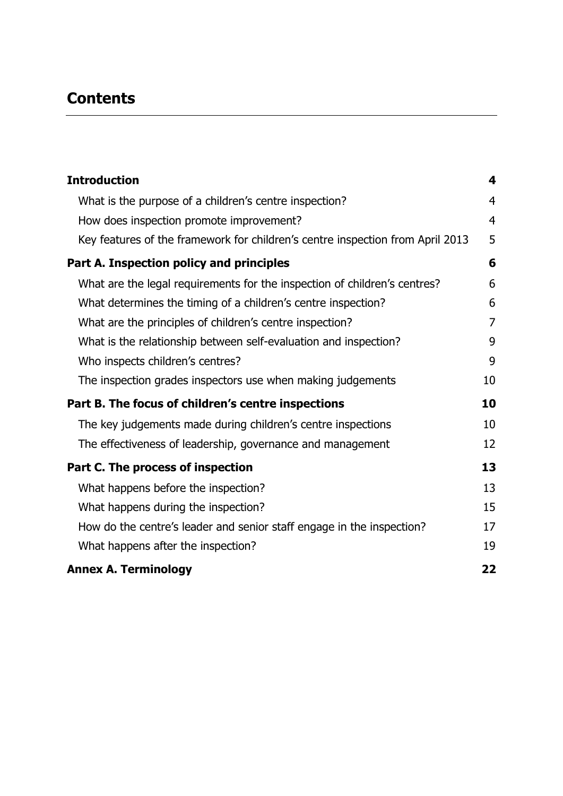# **Contents**

| <b>Introduction</b>                                                            | 4              |
|--------------------------------------------------------------------------------|----------------|
| What is the purpose of a children's centre inspection?                         | $\overline{4}$ |
| How does inspection promote improvement?                                       | $\overline{4}$ |
| Key features of the framework for children's centre inspection from April 2013 | 5              |
| Part A. Inspection policy and principles                                       | 6              |
| What are the legal requirements for the inspection of children's centres?      | 6              |
| What determines the timing of a children's centre inspection?                  | 6              |
| What are the principles of children's centre inspection?                       | $\overline{7}$ |
| What is the relationship between self-evaluation and inspection?               | 9              |
| Who inspects children's centres?                                               | 9              |
| The inspection grades inspectors use when making judgements                    | 10             |
| Part B. The focus of children's centre inspections                             | 10             |
| The key judgements made during children's centre inspections                   | 10             |
| The effectiveness of leadership, governance and management                     | 12             |
| Part C. The process of inspection                                              | 13             |
| What happens before the inspection?                                            | 13             |
| What happens during the inspection?                                            | 15             |
| How do the centre's leader and senior staff engage in the inspection?          | 17             |
| What happens after the inspection?                                             | 19             |
| <b>Annex A. Terminology</b>                                                    | 22             |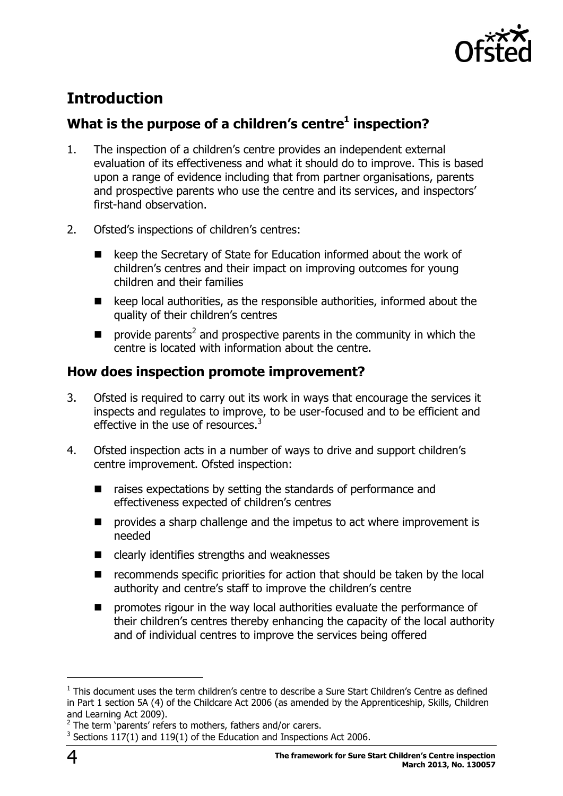

# <span id="page-3-0"></span>**Introduction**

# <span id="page-3-1"></span>**What is the purpose of a children's centre<sup>1</sup> inspection?**

- 1. The inspection of a children's centre provides an independent external evaluation of its effectiveness and what it should do to improve. This is based upon a range of evidence including that from partner organisations, parents and prospective parents who use the centre and its services, and inspectors' first-hand observation.
- 2. Ofsted's inspections of children's centres:
	- keep the Secretary of State for Education informed about the work of children's centres and their impact on improving outcomes for young children and their families
	- $\blacksquare$  keep local authorities, as the responsible authorities, informed about the quality of their children's centres
	- $\blacksquare$  provide parents<sup>2</sup> and prospective parents in the community in which the centre is located with information about the centre.

### <span id="page-3-2"></span>**How does inspection promote improvement?**

- 3. Ofsted is required to carry out its work in ways that encourage the services it inspects and regulates to improve, to be user-focused and to be efficient and effective in the use of resources.<sup>3</sup>
- 4. Ofsted inspection acts in a number of ways to drive and support children's centre improvement. Ofsted inspection:
	- raises expectations by setting the standards of performance and effectiveness expected of children's centres
	- $\blacksquare$  provides a sharp challenge and the impetus to act where improvement is needed
	- $\blacksquare$  clearly identifies strengths and weaknesses
	- recommends specific priorities for action that should be taken by the local authority and centre's staff to improve the children's centre
	- promotes rigour in the way local authorities evaluate the performance of their children's centres thereby enhancing the capacity of the local authority and of individual centres to improve the services being offered

 $<sup>1</sup>$  This document uses the term children's centre to describe a Sure Start Children's Centre as defined</sup> in Part 1 section 5A (4) of the Childcare Act 2006 (as amended by the Apprenticeship, Skills, Children and Learning Act 2009).<br><sup>2</sup> The term 'parents' refers to mothers, fathers and/or carers.

 $3$  Sections 117(1) and 119(1) of the Education and Inspections Act 2006.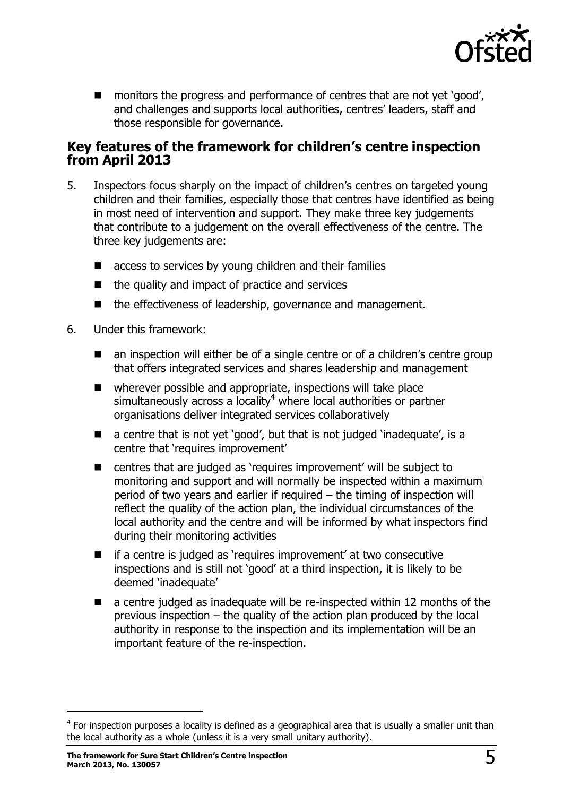

■ monitors the progress and performance of centres that are not yet 'good', and challenges and supports local authorities, centres' leaders, staff and those responsible for governance.

#### <span id="page-4-0"></span>**Key features of the framework for children's centre inspection from April 2013**

- 5. Inspectors focus sharply on the impact of children's centres on targeted young children and their families, especially those that centres have identified as being in most need of intervention and support. They make three key judgements that contribute to a judgement on the overall effectiveness of the centre. The three key judgements are:
	- access to services by young children and their families
	- $\blacksquare$  the quality and impact of practice and services
	- the effectiveness of leadership, governance and management.
- 6. Under this framework:
	- an inspection will either be of a single centre or of a children's centre group that offers integrated services and shares leadership and management
	- wherever possible and appropriate, inspections will take place simultaneously across a locality<sup>4</sup> where local authorities or partner organisations deliver integrated services collaboratively
	- a centre that is not yet 'good', but that is not judged 'inadequate', is a centre that 'requires improvement'
	- centres that are judged as 'requires improvement' will be subject to monitoring and support and will normally be inspected within a maximum period of two years and earlier if required – the timing of inspection will reflect the quality of the action plan, the individual circumstances of the local authority and the centre and will be informed by what inspectors find during their monitoring activities
	- if a centre is judged as 'requires improvement' at two consecutive inspections and is still not 'good' at a third inspection, it is likely to be deemed 'inadequate'
	- a centre judged as inadequate will be re-inspected within 12 months of the previous inspection – the quality of the action plan produced by the local authority in response to the inspection and its implementation will be an important feature of the re-inspection.

 $4$  For inspection purposes a locality is defined as a geographical area that is usually a smaller unit than the local authority as a whole (unless it is a very small unitary authority).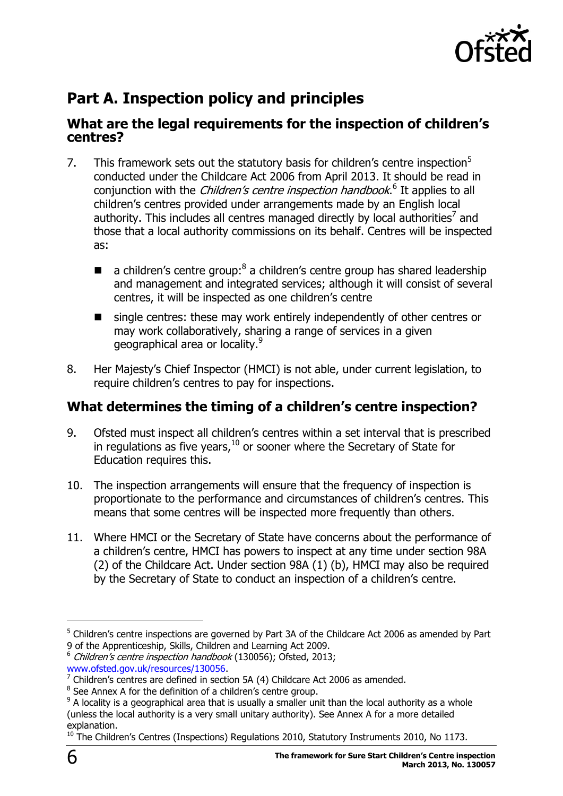

# <span id="page-5-0"></span>**Part A. Inspection policy and principles**

#### <span id="page-5-1"></span>**What are the legal requirements for the inspection of children's centres?**

- 7. This framework sets out the statutory basis for children's centre inspection $5$ conducted under the Childcare Act 2006 from April 2013. It should be read in conjunction with the *Children's centre inspection handbook*.<sup>6</sup> It applies to all children's centres provided under arrangements made by an English local authority. This includes all centres managed directly by local authorities<sup>7</sup> and those that a local authority commissions on its behalf. Centres will be inspected as:
	- $\blacksquare$  a children's centre group:<sup>8</sup> a children's centre group has shared leadership and management and integrated services; although it will consist of several centres, it will be inspected as one children's centre
	- single centres: these may work entirely independently of other centres or may work collaboratively, sharing a range of services in a given geographical area or locality.<sup>9</sup>
- 8. Her Majesty's Chief Inspector (HMCI) is not able, under current legislation, to require children's centres to pay for inspections.

# <span id="page-5-2"></span>**What determines the timing of a children's centre inspection?**

- 9. Ofsted must inspect all children's centres within a set interval that is prescribed in regulations as five years,  $^{10}$  or sooner where the Secretary of State for Education requires this.
- 10. The inspection arrangements will ensure that the frequency of inspection is proportionate to the performance and circumstances of children's centres. This means that some centres will be inspected more frequently than others.
- 11. Where HMCI or the Secretary of State have concerns about the performance of a children's centre, HMCI has powers to inspect at any time under section 98A (2) of the Childcare Act. Under section 98A (1) (b), HMCI may also be required by the Secretary of State to conduct an inspection of a children's centre.

 $5$  Children's centre inspections are governed by Part 3A of the Childcare Act 2006 as amended by Part 9 of the Apprenticeship, Skills, Children and Learning Act 2009.

<sup>&</sup>lt;sup>6</sup> Children's centre inspection handbook (130056); Ofsted, 2013;

[www.ofsted.gov.uk/resources/130056.](http://www.ofsted.gov.uk/resources/130056)

 $7$  Children's centres are defined in section 5A (4) Childcare Act 2006 as amended.

<sup>&</sup>lt;sup>8</sup> See Annex A for the definition of a children's centre group.

 $9$  A locality is a geographical area that is usually a smaller unit than the local authority as a whole (unless the local authority is a very small unitary authority). See Annex A for a more detailed explanation.

 $10$  The Children's Centres (Inspections) Regulations 2010, Statutory Instruments 2010, No 1173.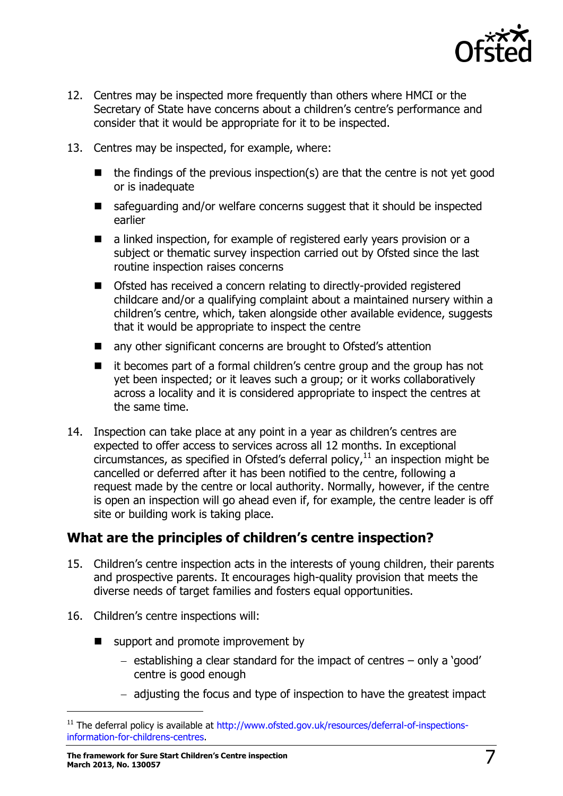

- 12. Centres may be inspected more frequently than others where HMCI or the Secretary of State have concerns about a children's centre's performance and consider that it would be appropriate for it to be inspected.
- 13. Centres may be inspected, for example, where:
	- $\blacksquare$  the findings of the previous inspection(s) are that the centre is not yet good or is inadequate
	- $\blacksquare$  safeguarding and/or welfare concerns suggest that it should be inspected earlier
	- a linked inspection, for example of registered early years provision or a subject or thematic survey inspection carried out by Ofsted since the last routine inspection raises concerns
	- Ofsted has received a concern relating to directly-provided registered childcare and/or a qualifying complaint about a maintained nursery within a children's centre, which, taken alongside other available evidence, suggests that it would be appropriate to inspect the centre
	- any other significant concerns are brought to Ofsted's attention
	- it becomes part of a formal children's centre group and the group has not yet been inspected; or it leaves such a group; or it works collaboratively across a locality and it is considered appropriate to inspect the centres at the same time.
- 14. Inspection can take place at any point in a year as children's centres are expected to offer access to services across all 12 months. In exceptional circumstances, as specified in Ofsted's deferral policy, $11$  an inspection might be cancelled or deferred after it has been notified to the centre, following a request made by the centre or local authority. Normally, however, if the centre is open an inspection will go ahead even if, for example, the centre leader is off site or building work is taking place.

# <span id="page-6-0"></span>**What are the principles of children's centre inspection?**

- 15. Children's centre inspection acts in the interests of young children, their parents and prospective parents. It encourages high-quality provision that meets the diverse needs of target families and fosters equal opportunities.
- 16. Children's centre inspections will:

- support and promote improvement by
	- $-$  establishing a clear standard for the impact of centres  $-$  only a 'good' centre is good enough
	- $-$  adjusting the focus and type of inspection to have the greatest impact

<sup>&</sup>lt;sup>11</sup> The deferral policy is available at [http://www.ofsted.gov.uk/resources/deferral-of-inspections](http://www.ofsted.gov.uk/resources/deferral-of-inspections-information-for-childrens-centres)[information-for-childrens-centres.](http://www.ofsted.gov.uk/resources/deferral-of-inspections-information-for-childrens-centres)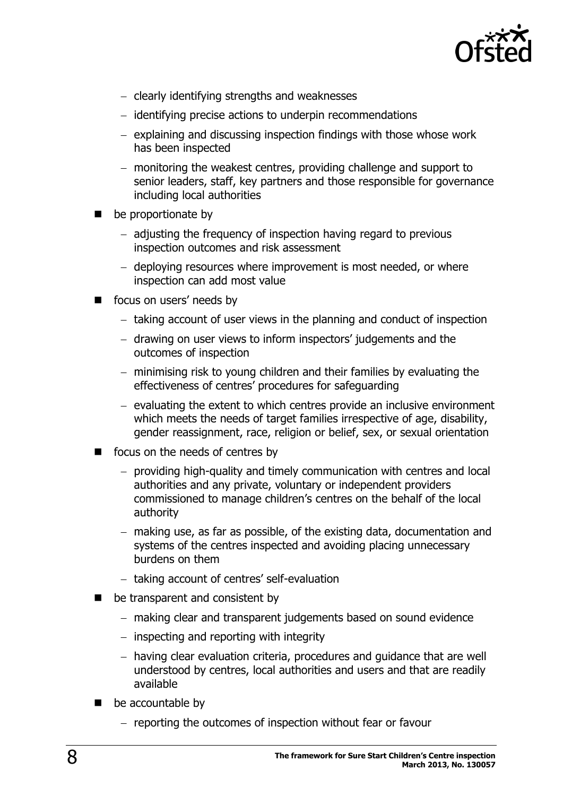

- clearly identifying strengths and weaknesses
- identifying precise actions to underpin recommendations
- $-$  explaining and discussing inspection findings with those whose work has been inspected
- monitoring the weakest centres, providing challenge and support to senior leaders, staff, key partners and those responsible for governance including local authorities
- be proportionate by
	- adjusting the frequency of inspection having regard to previous inspection outcomes and risk assessment
	- deploying resources where improvement is most needed, or where inspection can add most value
- focus on users' needs by
	- $-$  taking account of user views in the planning and conduct of inspection
	- drawing on user views to inform inspectors' judgements and the outcomes of inspection
	- minimising risk to young children and their families by evaluating the effectiveness of centres' procedures for safeguarding
	- $-$  evaluating the extent to which centres provide an inclusive environment which meets the needs of target families irrespective of age, disability, gender reassignment, race, religion or belief, sex, or sexual orientation
- focus on the needs of centres by
	- providing high-quality and timely communication with centres and local authorities and any private, voluntary or independent providers commissioned to manage children's centres on the behalf of the local authority
	- making use, as far as possible, of the existing data, documentation and systems of the centres inspected and avoiding placing unnecessary burdens on them
	- taking account of centres' self-evaluation
- be transparent and consistent by
	- making clear and transparent judgements based on sound evidence
	- $-$  inspecting and reporting with integrity
	- having clear evaluation criteria, procedures and guidance that are well understood by centres, local authorities and users and that are readily available
- be accountable by
	- reporting the outcomes of inspection without fear or favour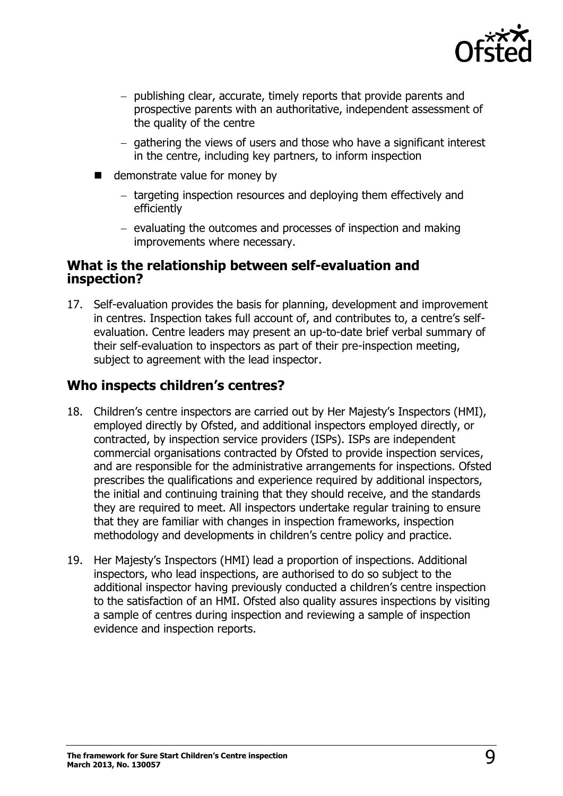

- publishing clear, accurate, timely reports that provide parents and prospective parents with an authoritative, independent assessment of the quality of the centre
- $-$  gathering the views of users and those who have a significant interest in the centre, including key partners, to inform inspection
- demonstrate value for money by
	- targeting inspection resources and deploying them effectively and efficiently
	- $-$  evaluating the outcomes and processes of inspection and making improvements where necessary.

#### <span id="page-8-0"></span>**What is the relationship between self-evaluation and inspection?**

17. Self-evaluation provides the basis for planning, development and improvement in centres. Inspection takes full account of, and contributes to, a centre's selfevaluation. Centre leaders may present an up-to-date brief verbal summary of their self-evaluation to inspectors as part of their pre-inspection meeting, subject to agreement with the lead inspector.

# <span id="page-8-1"></span>**Who inspects children's centres?**

- 18. Children's centre inspectors are carried out by Her Majesty's Inspectors (HMI), employed directly by Ofsted, and additional inspectors employed directly, or contracted, by inspection service providers (ISPs). ISPs are independent commercial organisations contracted by Ofsted to provide inspection services, and are responsible for the administrative arrangements for inspections. Ofsted prescribes the qualifications and experience required by additional inspectors, the initial and continuing training that they should receive, and the standards they are required to meet. All inspectors undertake regular training to ensure that they are familiar with changes in inspection frameworks, inspection methodology and developments in children's centre policy and practice.
- <span id="page-8-2"></span>19. Her Majesty's Inspectors (HMI) lead a proportion of inspections. Additional inspectors, who lead inspections, are authorised to do so subject to the additional inspector having previously conducted a children's centre inspection to the satisfaction of an HMI. Ofsted also quality assures inspections by visiting a sample of centres during inspection and reviewing a sample of inspection evidence and inspection reports.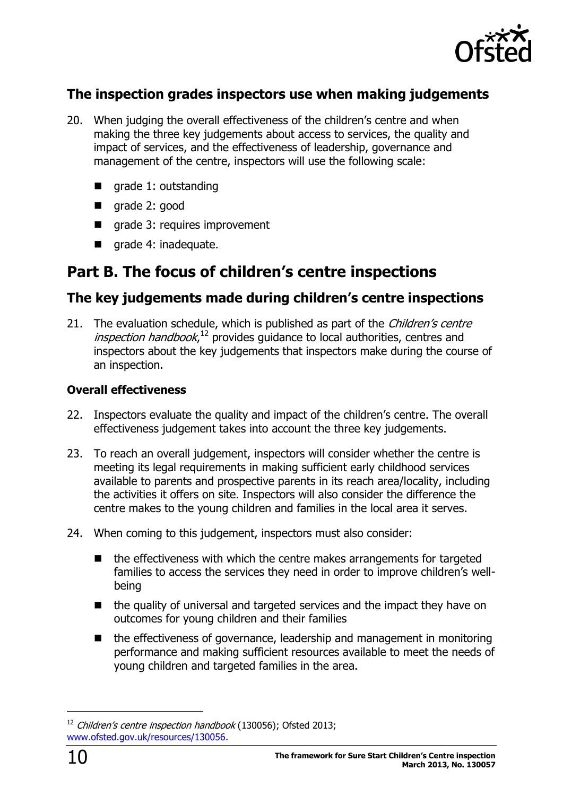

# **The inspection grades inspectors use when making judgements**

- 20. When judging the overall effectiveness of the children's centre and when making the three key judgements about access to services, the quality and impact of services, and the effectiveness of leadership, governance and management of the centre, inspectors will use the following scale:
	- grade 1: outstanding
	- grade 2: good
	- grade 3: requires improvement
	- qrade 4: inadequate.

# <span id="page-9-0"></span>**Part B. The focus of children's centre inspections**

# <span id="page-9-1"></span>**The key judgements made during children's centre inspections**

21. The evaluation schedule, which is published as part of the *Children's centre* inspection handbook,<sup>12</sup> provides guidance to local authorities, centres and inspectors about the key judgements that inspectors make during the course of an inspection.

#### **Overall effectiveness**

- 22. Inspectors evaluate the quality and impact of the children's centre. The overall effectiveness judgement takes into account the three key judgements.
- 23. To reach an overall judgement, inspectors will consider whether the centre is meeting its legal requirements in making sufficient early childhood services available to parents and prospective parents in its reach area/locality, including the activities it offers on site. Inspectors will also consider the difference the centre makes to the young children and families in the local area it serves.
- 24. When coming to this judgement, inspectors must also consider:
	- $\blacksquare$  the effectiveness with which the centre makes arrangements for targeted families to access the services they need in order to improve children's wellbeing
	- $\blacksquare$  the quality of universal and targeted services and the impact they have on outcomes for young children and their families
	- the effectiveness of governance, leadership and management in monitoring performance and making sufficient resources available to meet the needs of young children and targeted families in the area.

 $12$  Children's centre inspection handbook (130056); Ofsted 2013; [www.ofsted.gov.uk/resources/130056.](http://www.ofsted.gov.uk/resources/130056)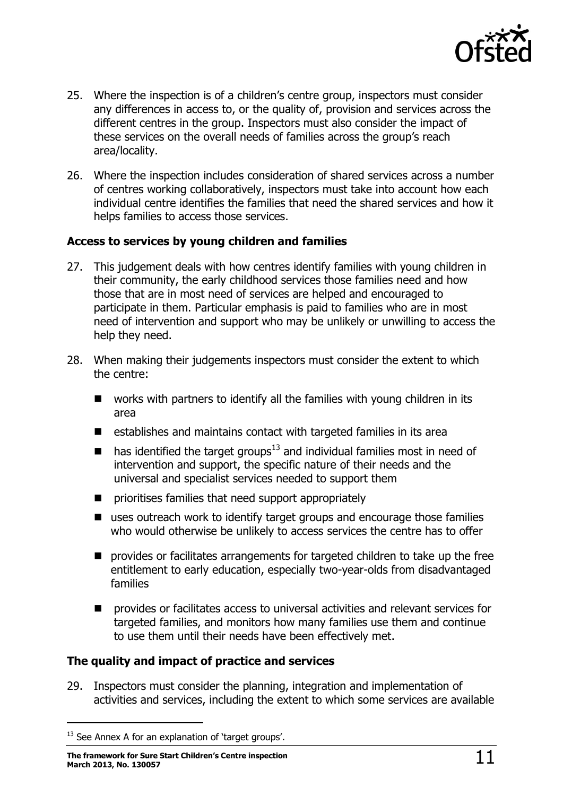

- 25. Where the inspection is of a children's centre group, inspectors must consider any differences in access to, or the quality of, provision and services across the different centres in the group. Inspectors must also consider the impact of these services on the overall needs of families across the group's reach area/locality.
- 26. Where the inspection includes consideration of shared services across a number of centres working collaboratively, inspectors must take into account how each individual centre identifies the families that need the shared services and how it helps families to access those services.

#### **Access to services by young children and families**

- 27. This judgement deals with how centres identify families with young children in their community, the early childhood services those families need and how those that are in most need of services are helped and encouraged to participate in them. Particular emphasis is paid to families who are in most need of intervention and support who may be unlikely or unwilling to access the help they need.
- 28. When making their judgements inspectors must consider the extent to which the centre:
	- works with partners to identify all the families with young children in its area
	- $\blacksquare$  establishes and maintains contact with targeted families in its area
	- $\blacksquare$  has identified the target groups<sup>13</sup> and individual families most in need of intervention and support, the specific nature of their needs and the universal and specialist services needed to support them
	- **n** prioritises families that need support appropriately
	- uses outreach work to identify target groups and encourage those families who would otherwise be unlikely to access services the centre has to offer
	- **P** provides or facilitates arrangements for targeted children to take up the free entitlement to early education, especially two-year-olds from disadvantaged families
	- $\blacksquare$  provides or facilitates access to universal activities and relevant services for targeted families, and monitors how many families use them and continue to use them until their needs have been effectively met.

#### **The quality and impact of practice and services**

29. Inspectors must consider the planning, integration and implementation of activities and services, including the extent to which some services are available

 $13$  See Annex A for an explanation of 'target groups'.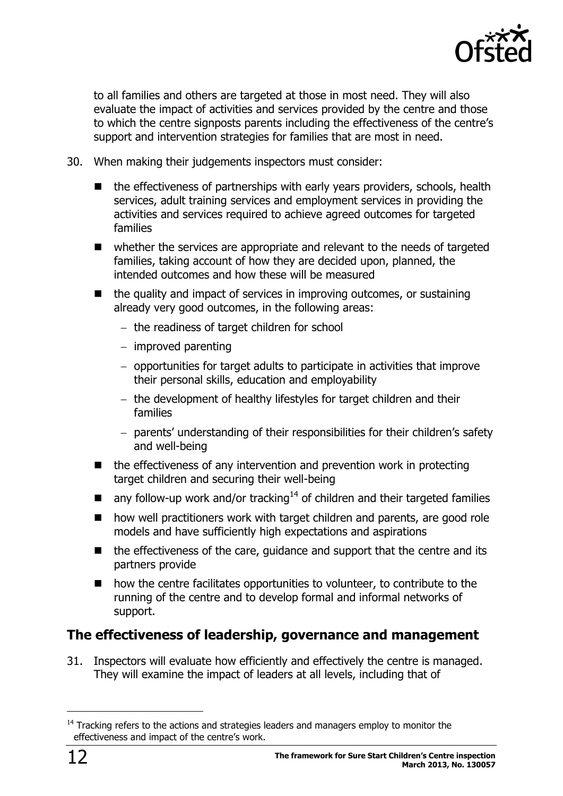

to all families and others are targeted at those in most need. They will also evaluate the impact of activities and services provided by the centre and those to which the centre signposts parents including the effectiveness of the centre's support and intervention strategies for families that are most in need.

- 30. When making their judgements inspectors must consider:
	- the effectiveness of partnerships with early years providers, schools, health services, adult training services and employment services in providing the activities and services required to achieve agreed outcomes for targeted families
	- whether the services are appropriate and relevant to the needs of targeted families, taking account of how they are decided upon, planned, the intended outcomes and how these will be measured
	- the quality and impact of services in improving outcomes, or sustaining already very good outcomes, in the following areas:
		- the readiness of target children for school
		- $-$  improved parenting
		- opportunities for target adults to participate in activities that improve their personal skills, education and employability
		- $-$  the development of healthy lifestyles for target children and their families
		- parents' understanding of their responsibilities for their children's safety and well-being
	- $\blacksquare$  the effectiveness of any intervention and prevention work in protecting target children and securing their well-being
	- any follow-up work and/or tracking<sup>14</sup> of children and their targeted families
	- how well practitioners work with target children and parents, are good role models and have sufficiently high expectations and aspirations
	- $\blacksquare$  the effectiveness of the care, guidance and support that the centre and its partners provide
	- how the centre facilitates opportunities to volunteer, to contribute to the running of the centre and to develop formal and informal networks of support.

### <span id="page-11-0"></span>**The effectiveness of leadership, governance and management**

31. Inspectors will evaluate how efficiently and effectively the centre is managed. They will examine the impact of leaders at all levels, including that of

<sup>&</sup>lt;sup>14</sup> Tracking refers to the actions and strategies leaders and managers employ to monitor the effectiveness and impact of the centre's work.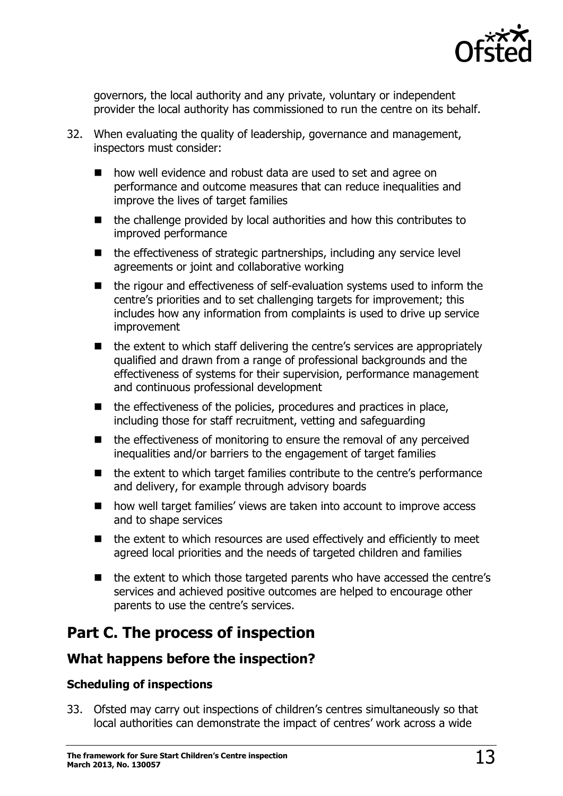

governors, the local authority and any private, voluntary or independent provider the local authority has commissioned to run the centre on its behalf.

- 32. When evaluating the quality of leadership, governance and management, inspectors must consider:
	- how well evidence and robust data are used to set and agree on performance and outcome measures that can reduce inequalities and improve the lives of target families
	- $\blacksquare$  the challenge provided by local authorities and how this contributes to improved performance
	- $\blacksquare$  the effectiveness of strategic partnerships, including any service level agreements or joint and collaborative working
	- the rigour and effectiveness of self-evaluation systems used to inform the centre's priorities and to set challenging targets for improvement; this includes how any information from complaints is used to drive up service improvement
	- the extent to which staff delivering the centre's services are appropriately qualified and drawn from a range of professional backgrounds and the effectiveness of systems for their supervision, performance management and continuous professional development
	- $\blacksquare$  the effectiveness of the policies, procedures and practices in place, including those for staff recruitment, vetting and safeguarding
	- $\blacksquare$  the effectiveness of monitoring to ensure the removal of any perceived inequalities and/or barriers to the engagement of target families
	- the extent to which target families contribute to the centre's performance and delivery, for example through advisory boards
	- how well target families' views are taken into account to improve access and to shape services
	- $\blacksquare$  the extent to which resources are used effectively and efficiently to meet agreed local priorities and the needs of targeted children and families
	- the extent to which those targeted parents who have accessed the centre's services and achieved positive outcomes are helped to encourage other parents to use the centre's services.

# <span id="page-12-0"></span>**Part C. The process of inspection**

# <span id="page-12-1"></span>**What happens before the inspection?**

#### **Scheduling of inspections**

33. Ofsted may carry out inspections of children's centres simultaneously so that local authorities can demonstrate the impact of centres' work across a wide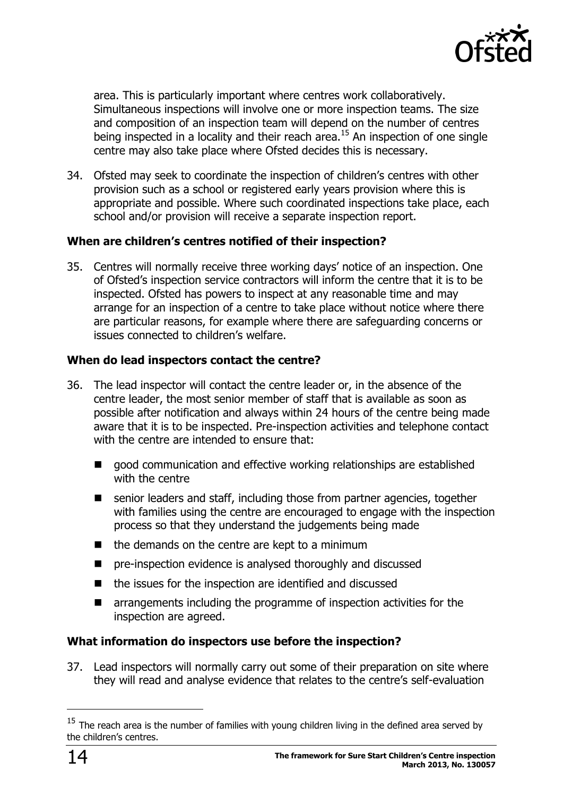

area. This is particularly important where centres work collaboratively. Simultaneous inspections will involve one or more inspection teams. The size and composition of an inspection team will depend on the number of centres being inspected in a locality and their reach area.<sup>15</sup> An inspection of one single centre may also take place where Ofsted decides this is necessary.

34. Ofsted may seek to coordinate the inspection of children's centres with other provision such as a school or registered early years provision where this is appropriate and possible. Where such coordinated inspections take place, each school and/or provision will receive a separate inspection report.

#### **When are children's centres notified of their inspection?**

35. Centres will normally receive three working days' notice of an inspection. One of Ofsted's inspection service contractors will inform the centre that it is to be inspected. Ofsted has powers to inspect at any reasonable time and may arrange for an inspection of a centre to take place without notice where there are particular reasons, for example where there are safeguarding concerns or issues connected to children's welfare.

#### **When do lead inspectors contact the centre?**

- 36. The lead inspector will contact the centre leader or, in the absence of the centre leader, the most senior member of staff that is available as soon as possible after notification and always within 24 hours of the centre being made aware that it is to be inspected. Pre-inspection activities and telephone contact with the centre are intended to ensure that:
	- good communication and effective working relationships are established with the centre
	- senior leaders and staff, including those from partner agencies, together with families using the centre are encouraged to engage with the inspection process so that they understand the judgements being made
	- $\blacksquare$  the demands on the centre are kept to a minimum
	- pre-inspection evidence is analysed thoroughly and discussed
	- the issues for the inspection are identified and discussed
	- **E** arrangements including the programme of inspection activities for the inspection are agreed.

#### **What information do inspectors use before the inspection?**

37. Lead inspectors will normally carry out some of their preparation on site where they will read and analyse evidence that relates to the centre's self-evaluation

 $15$  The reach area is the number of families with young children living in the defined area served by the children's centres.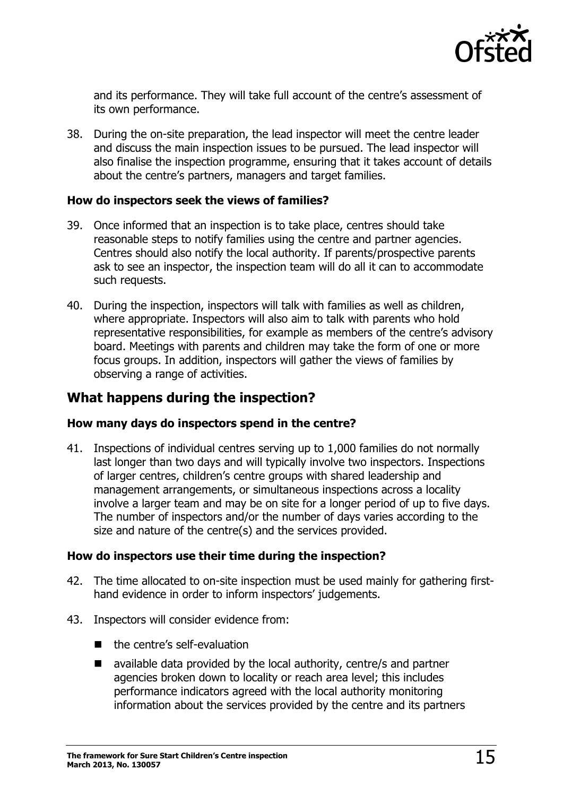

and its performance. They will take full account of the centre's assessment of its own performance.

38. During the on-site preparation, the lead inspector will meet the centre leader and discuss the main inspection issues to be pursued. The lead inspector will also finalise the inspection programme, ensuring that it takes account of details about the centre's partners, managers and target families.

#### **How do inspectors seek the views of families?**

- 39. Once informed that an inspection is to take place, centres should take reasonable steps to notify families using the centre and partner agencies. Centres should also notify the local authority. If parents/prospective parents ask to see an inspector, the inspection team will do all it can to accommodate such requests.
- 40. During the inspection, inspectors will talk with families as well as children, where appropriate. Inspectors will also aim to talk with parents who hold representative responsibilities, for example as members of the centre's advisory board. Meetings with parents and children may take the form of one or more focus groups. In addition, inspectors will gather the views of families by observing a range of activities.

### <span id="page-14-0"></span>**What happens during the inspection?**

#### **How many days do inspectors spend in the centre?**

41. Inspections of individual centres serving up to 1,000 families do not normally last longer than two days and will typically involve two inspectors. Inspections of larger centres, children's centre groups with shared leadership and management arrangements, or simultaneous inspections across a locality involve a larger team and may be on site for a longer period of up to five days. The number of inspectors and/or the number of days varies according to the size and nature of the centre(s) and the services provided.

#### **How do inspectors use their time during the inspection?**

- 42. The time allocated to on-site inspection must be used mainly for gathering firsthand evidence in order to inform inspectors' judgements.
- 43. Inspectors will consider evidence from:
	- $\blacksquare$  the centre's self-evaluation
	- available data provided by the local authority, centre/s and partner agencies broken down to locality or reach area level; this includes performance indicators agreed with the local authority monitoring information about the services provided by the centre and its partners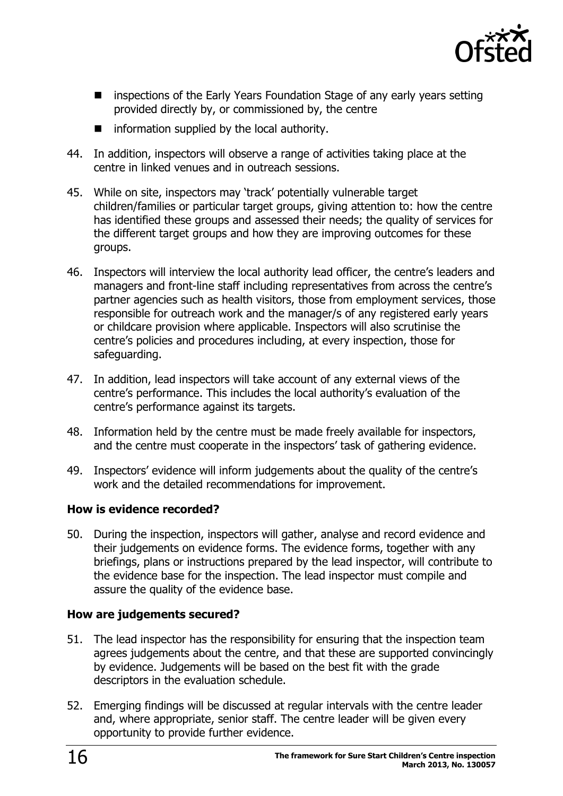

- **EXTERGHTM** inspections of the Early Years Foundation Stage of any early years setting provided directly by, or commissioned by, the centre
- $\blacksquare$  information supplied by the local authority.
- 44. In addition, inspectors will observe a range of activities taking place at the centre in linked venues and in outreach sessions.
- 45. While on site, inspectors may 'track' potentially vulnerable target children/families or particular target groups, giving attention to: how the centre has identified these groups and assessed their needs; the quality of services for the different target groups and how they are improving outcomes for these groups.
- 46. Inspectors will interview the local authority lead officer, the centre's leaders and managers and front-line staff including representatives from across the centre's partner agencies such as health visitors, those from employment services, those responsible for outreach work and the manager/s of any registered early years or childcare provision where applicable. Inspectors will also scrutinise the centre's policies and procedures including, at every inspection, those for safeguarding.
- 47. In addition, lead inspectors will take account of any external views of the centre's performance. This includes the local authority's evaluation of the centre's performance against its targets.
- 48. Information held by the centre must be made freely available for inspectors, and the centre must cooperate in the inspectors' task of gathering evidence.
- 49. Inspectors' evidence will inform judgements about the quality of the centre's work and the detailed recommendations for improvement.

#### **How is evidence recorded?**

50. During the inspection, inspectors will gather, analyse and record evidence and their judgements on evidence forms. The evidence forms, together with any briefings, plans or instructions prepared by the lead inspector, will contribute to the evidence base for the inspection. The lead inspector must compile and assure the quality of the evidence base.

#### **How are judgements secured?**

- 51. The lead inspector has the responsibility for ensuring that the inspection team agrees judgements about the centre, and that these are supported convincingly by evidence. Judgements will be based on the best fit with the grade descriptors in the evaluation schedule.
- 52. Emerging findings will be discussed at regular intervals with the centre leader and, where appropriate, senior staff. The centre leader will be given every opportunity to provide further evidence.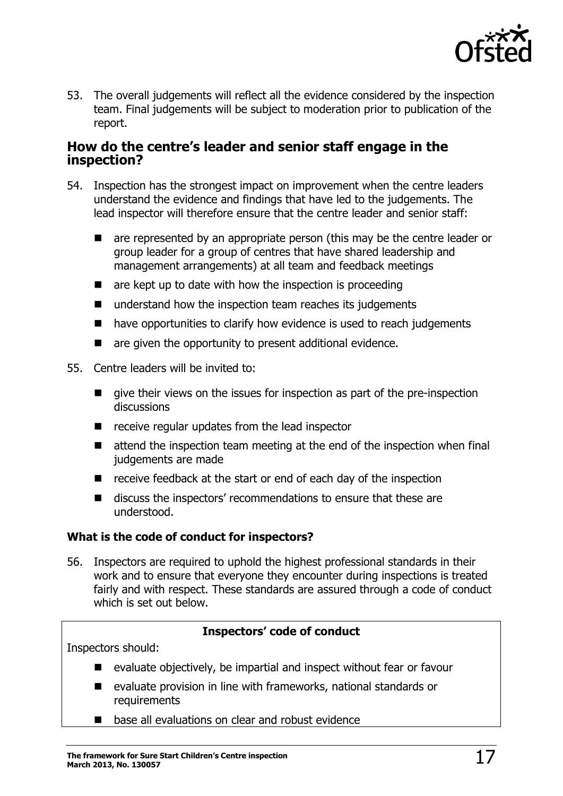

53. The overall judgements will reflect all the evidence considered by the inspection team. Final judgements will be subject to moderation prior to publication of the report.

#### <span id="page-16-0"></span>**How do the centre's leader and senior staff engage in the inspection?**

- 54. Inspection has the strongest impact on improvement when the centre leaders understand the evidence and findings that have led to the judgements. The lead inspector will therefore ensure that the centre leader and senior staff:
	- **E** are represented by an appropriate person (this may be the centre leader or group leader for a group of centres that have shared leadership and management arrangements) at all team and feedback meetings
	- $\blacksquare$  are kept up to date with how the inspection is proceeding
	- $\blacksquare$  understand how the inspection team reaches its judgements
	- have opportunities to clarify how evidence is used to reach judgements
	- $\blacksquare$  are given the opportunity to present additional evidence.
- 55. Centre leaders will be invited to:
	- give their views on the issues for inspection as part of the pre-inspection discussions
	- $\blacksquare$  receive regular updates from the lead inspector
	- attend the inspection team meeting at the end of the inspection when final judgements are made
	- $\blacksquare$  receive feedback at the start or end of each day of the inspection
	- discuss the inspectors' recommendations to ensure that these are understood.

#### **What is the code of conduct for inspectors?**

56. Inspectors are required to uphold the highest professional standards in their work and to ensure that everyone they encounter during inspections is treated fairly and with respect. These standards are assured through a code of conduct which is set out below.

#### **Inspectors' code of conduct**

Inspectors should:

- $\blacksquare$  evaluate objectively, be impartial and inspect without fear or favour
- evaluate provision in line with frameworks, national standards or **requirements**
- base all evaluations on clear and robust evidence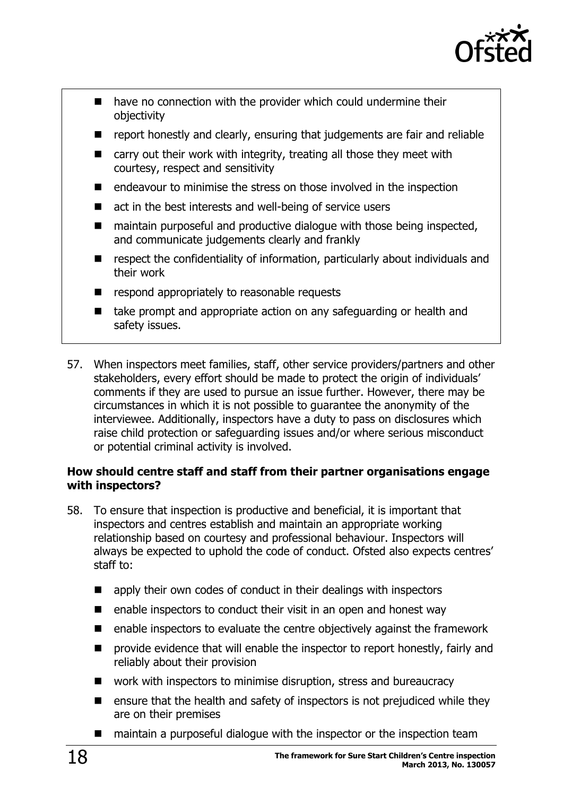

- have no connection with the provider which could undermine their objectivity
- **P** report honestly and clearly, ensuring that judgements are fair and reliable
- carry out their work with integrity, treating all those they meet with courtesy, respect and sensitivity
- endeavour to minimise the stress on those involved in the inspection
- act in the best interests and well-being of service users
- maintain purposeful and productive dialogue with those being inspected, and communicate judgements clearly and frankly
- $\blacksquare$  respect the confidentiality of information, particularly about individuals and their work
- respond appropriately to reasonable requests
- take prompt and appropriate action on any safeguarding or health and safety issues.
- 57. When inspectors meet families, staff, other service providers/partners and other stakeholders, every effort should be made to protect the origin of individuals' comments if they are used to pursue an issue further. However, there may be circumstances in which it is not possible to guarantee the anonymity of the interviewee. Additionally, inspectors have a duty to pass on disclosures which raise child protection or safeguarding issues and/or where serious misconduct or potential criminal activity is involved.

#### **How should centre staff and staff from their partner organisations engage with inspectors?**

- 58. To ensure that inspection is productive and beneficial, it is important that inspectors and centres establish and maintain an appropriate working relationship based on courtesy and professional behaviour. Inspectors will always be expected to uphold the code of conduct. Ofsted also expects centres' staff to:
	- apply their own codes of conduct in their dealings with inspectors
	- enable inspectors to conduct their visit in an open and honest way
	- enable inspectors to evaluate the centre objectively against the framework
	- $\blacksquare$  provide evidence that will enable the inspector to report honestly, fairly and reliably about their provision
	- work with inspectors to minimise disruption, stress and bureaucracy
	- $\blacksquare$  ensure that the health and safety of inspectors is not prejudiced while they are on their premises
	- maintain a purposeful dialogue with the inspector or the inspection team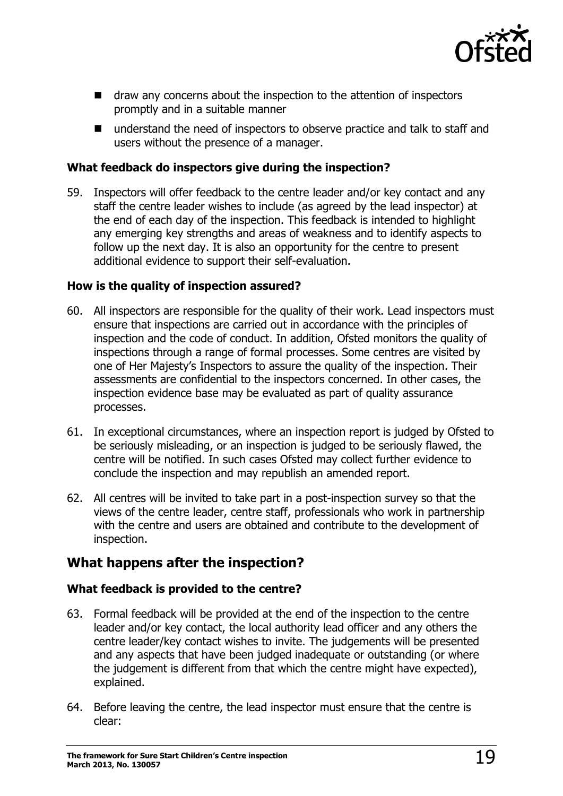

- draw any concerns about the inspection to the attention of inspectors promptly and in a suitable manner
- understand the need of inspectors to observe practice and talk to staff and users without the presence of a manager.

#### **What feedback do inspectors give during the inspection?**

59. Inspectors will offer feedback to the centre leader and/or key contact and any staff the centre leader wishes to include (as agreed by the lead inspector) at the end of each day of the inspection. This feedback is intended to highlight any emerging key strengths and areas of weakness and to identify aspects to follow up the next day. It is also an opportunity for the centre to present additional evidence to support their self-evaluation.

#### **How is the quality of inspection assured?**

- 60. All inspectors are responsible for the quality of their work. Lead inspectors must ensure that inspections are carried out in accordance with the principles of inspection and the code of conduct. In addition, Ofsted monitors the quality of inspections through a range of formal processes. Some centres are visited by one of Her Majesty's Inspectors to assure the quality of the inspection. Their assessments are confidential to the inspectors concerned. In other cases, the inspection evidence base may be evaluated as part of quality assurance processes.
- 61. In exceptional circumstances, where an inspection report is judged by Ofsted to be seriously misleading, or an inspection is judged to be seriously flawed, the centre will be notified. In such cases Ofsted may collect further evidence to conclude the inspection and may republish an amended report.
- 62. All centres will be invited to take part in a post-inspection survey so that the views of the centre leader, centre staff, professionals who work in partnership with the centre and users are obtained and contribute to the development of inspection.

# <span id="page-18-0"></span>**What happens after the inspection?**

#### **What feedback is provided to the centre?**

- 63. Formal feedback will be provided at the end of the inspection to the centre leader and/or key contact, the local authority lead officer and any others the centre leader/key contact wishes to invite. The judgements will be presented and any aspects that have been judged inadequate or outstanding (or where the judgement is different from that which the centre might have expected), explained.
- 64. Before leaving the centre, the lead inspector must ensure that the centre is clear: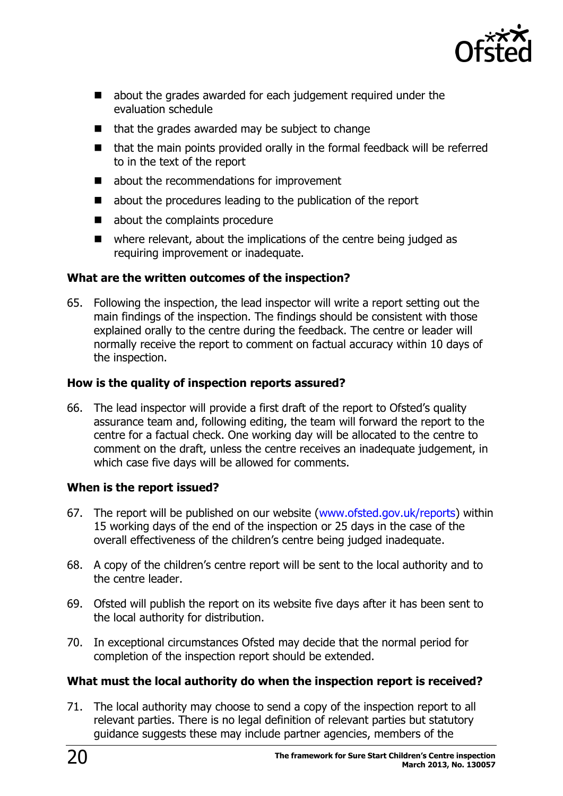

- about the grades awarded for each judgement required under the evaluation schedule
- $\blacksquare$  that the grades awarded may be subject to change
- that the main points provided orally in the formal feedback will be referred to in the text of the report
- about the recommendations for improvement
- about the procedures leading to the publication of the report
- about the complaints procedure
- where relevant, about the implications of the centre being judged as requiring improvement or inadequate.

#### **What are the written outcomes of the inspection?**

65. Following the inspection, the lead inspector will write a report setting out the main findings of the inspection. The findings should be consistent with those explained orally to the centre during the feedback. The centre or leader will normally receive the report to comment on factual accuracy within 10 days of the inspection.

#### **How is the quality of inspection reports assured?**

66. The lead inspector will provide a first draft of the report to Ofsted's quality assurance team and, following editing, the team will forward the report to the centre for a factual check. One working day will be allocated to the centre to comment on the draft, unless the centre receives an inadequate judgement, in which case five days will be allowed for comments.

#### **When is the report issued?**

- 67. The report will be published on our website [\(www.ofsted.gov.uk/reports\)](http://www.ofsted.gov.uk/reports) within 15 working days of the end of the inspection or 25 days in the case of the overall effectiveness of the children's centre being judged inadequate.
- 68. A copy of the children's centre report will be sent to the local authority and to the centre leader.
- 69. Ofsted will publish the report on its website five days after it has been sent to the local authority for distribution.
- 70. In exceptional circumstances Ofsted may decide that the normal period for completion of the inspection report should be extended.

#### **What must the local authority do when the inspection report is received?**

71. The local authority may choose to send a copy of the inspection report to all relevant parties. There is no legal definition of relevant parties but statutory guidance suggests these may include partner agencies, members of the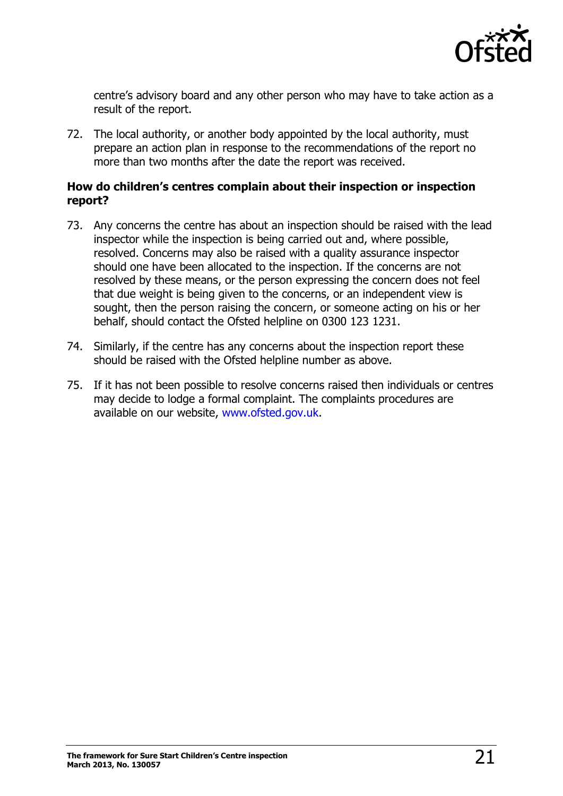

centre's advisory board and any other person who may have to take action as a result of the report.

72. The local authority, or another body appointed by the local authority, must prepare an action plan in response to the recommendations of the report no more than two months after the date the report was received.

#### **How do children's centres complain about their inspection or inspection report?**

- 73. Any concerns the centre has about an inspection should be raised with the lead inspector while the inspection is being carried out and, where possible, resolved. Concerns may also be raised with a quality assurance inspector should one have been allocated to the inspection. If the concerns are not resolved by these means, or the person expressing the concern does not feel that due weight is being given to the concerns, or an independent view is sought, then the person raising the concern, or someone acting on his or her behalf, should contact the Ofsted helpline on 0300 123 1231.
- 74. Similarly, if the centre has any concerns about the inspection report these should be raised with the Ofsted helpline number as above.
- 75. If it has not been possible to resolve concerns raised then individuals or centres may decide to lodge a formal complaint. The complaints procedures are available on our website, [www.ofsted.gov.uk.](http://www.ofsted.gov.uk/)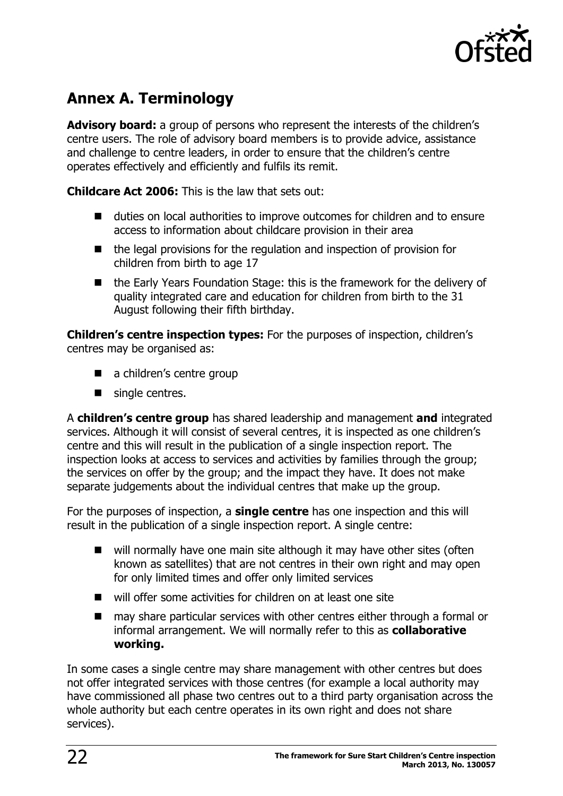

# <span id="page-21-0"></span>**Annex A. Terminology**

**Advisory board:** a group of persons who represent the interests of the children's centre users. The role of advisory board members is to provide advice, assistance and challenge to centre leaders, in order to ensure that the children's centre operates effectively and efficiently and fulfils its remit.

**Childcare Act 2006:** This is the law that sets out:

- duties on local authorities to improve outcomes for children and to ensure access to information about childcare provision in their area
- the legal provisions for the regulation and inspection of provision for children from birth to age 17
- the Early Years Foundation Stage: this is the framework for the delivery of quality integrated care and education for children from birth to the 31 August following their fifth birthday.

**Children's centre inspection types:** For the purposes of inspection, children's centres may be organised as:

- a children's centre group
- single centres.

A **children's centre group** has shared leadership and management **and** integrated services. Although it will consist of several centres, it is inspected as one children's centre and this will result in the publication of a single inspection report. The inspection looks at access to services and activities by families through the group; the services on offer by the group; and the impact they have. It does not make separate judgements about the individual centres that make up the group.

For the purposes of inspection, a **single centre** has one inspection and this will result in the publication of a single inspection report. A single centre:

- $\blacksquare$  will normally have one main site although it may have other sites (often known as satellites) that are not centres in their own right and may open for only limited times and offer only limited services
- will offer some activities for children on at least one site
- may share particular services with other centres either through a formal or informal arrangement. We will normally refer to this as **collaborative working.**

In some cases a single centre may share management with other centres but does not offer integrated services with those centres (for example a local authority may have commissioned all phase two centres out to a third party organisation across the whole authority but each centre operates in its own right and does not share services).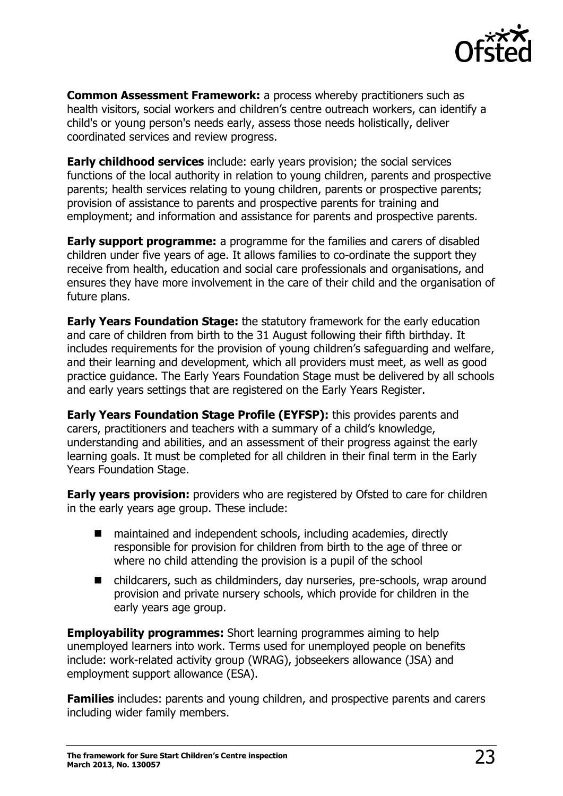

**Common Assessment Framework:** a process whereby practitioners such as health visitors, social workers and children's centre outreach workers, can identify a child's or young person's needs early, assess those needs holistically, deliver coordinated services and review progress.

**Early childhood services** include: early years provision; the social services functions of the local authority in relation to young children, parents and prospective parents; health services relating to young children, parents or prospective parents; provision of assistance to parents and prospective parents for training and employment; and information and assistance for parents and prospective parents.

**Early support programme:** a programme for the families and carers of disabled children under five years of age. It allows families to co-ordinate the support they receive from health, education and social care professionals and organisations, and ensures they have more involvement in the care of their child and the organisation of future plans.

**Early Years Foundation Stage:** the statutory framework for the early education and care of children from birth to the 31 August following their fifth birthday. It includes requirements for the provision of young children's safeguarding and welfare, and their learning and development, which all providers must meet, as well as good practice guidance. The Early Years Foundation Stage must be delivered by all schools and early years settings that are registered on the Early Years Register.

**Early Years Foundation Stage Profile (EYFSP):** this provides parents and carers, practitioners and teachers with a summary of a child's knowledge, understanding and abilities, and an assessment of their progress against the early learning goals. It must be completed for all children in their final term in the Early Years Foundation Stage.

**Early years provision:** providers who are registered by Ofsted to care for children in the early years age group. These include:

- maintained and independent schools, including academies, directly responsible for provision for children from birth to the age of three or where no child attending the provision is a pupil of the school
- childcarers, such as childminders, day nurseries, pre-schools, wrap around provision and private nursery schools, which provide for children in the early years age group.

**Employability programmes:** Short learning programmes aiming to help unemployed learners into work. Terms used for unemployed people on benefits include: work-related activity group (WRAG), jobseekers allowance (JSA) and employment support allowance (ESA).

**Families** includes: parents and young children, and prospective parents and carers including wider family members.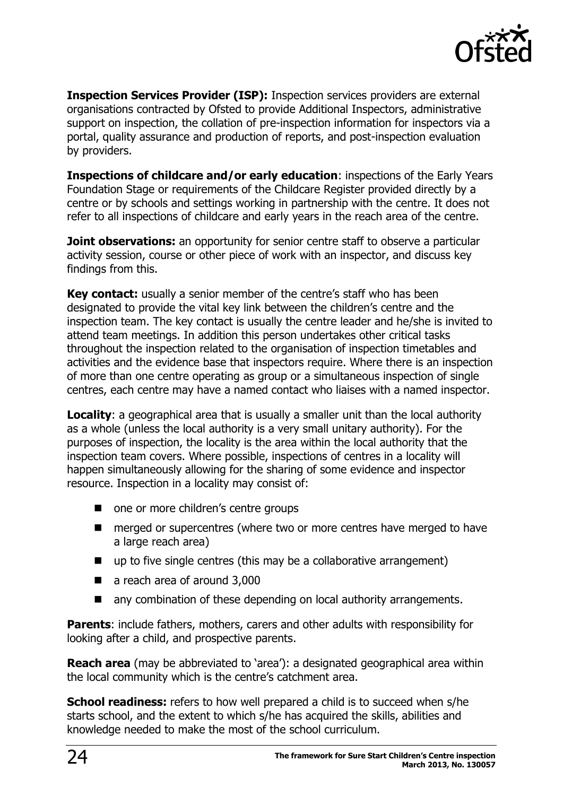

**Inspection Services Provider (ISP):** Inspection services providers are external organisations contracted by Ofsted to provide Additional Inspectors, administrative support on inspection, the collation of pre-inspection information for inspectors via a portal, quality assurance and production of reports, and post-inspection evaluation by providers.

**Inspections of childcare and/or early education**: inspections of the Early Years Foundation Stage or requirements of the Childcare Register provided directly by a centre or by schools and settings working in partnership with the centre. It does not refer to all inspections of childcare and early years in the reach area of the centre.

**Joint observations:** an opportunity for senior centre staff to observe a particular activity session, course or other piece of work with an inspector, and discuss key findings from this.

**Key contact:** usually a senior member of the centre's staff who has been designated to provide the vital key link between the children's centre and the inspection team. The key contact is usually the centre leader and he/she is invited to attend team meetings. In addition this person undertakes other critical tasks throughout the inspection related to the organisation of inspection timetables and activities and the evidence base that inspectors require. Where there is an inspection of more than one centre operating as group or a simultaneous inspection of single centres, each centre may have a named contact who liaises with a named inspector.

**Locality:** a geographical area that is usually a smaller unit than the local authority as a whole (unless the local authority is a very small unitary authority). For the purposes of inspection, the locality is the area within the local authority that the inspection team covers. Where possible, inspections of centres in a locality will happen simultaneously allowing for the sharing of some evidence and inspector resource. Inspection in a locality may consist of:

- one or more children's centre groups
- merged or supercentres (where two or more centres have merged to have a large reach area)
- up to five single centres (this may be a collaborative arrangement)
- a reach area of around 3,000
- any combination of these depending on local authority arrangements.

**Parents:** include fathers, mothers, carers and other adults with responsibility for looking after a child, and prospective parents.

**Reach area** (may be abbreviated to 'area'): a designated geographical area within the local community which is the centre's catchment area.

**School readiness:** refers to how well prepared a child is to succeed when s/he starts school, and the extent to which s/he has acquired the skills, abilities and knowledge needed to make the most of the school curriculum.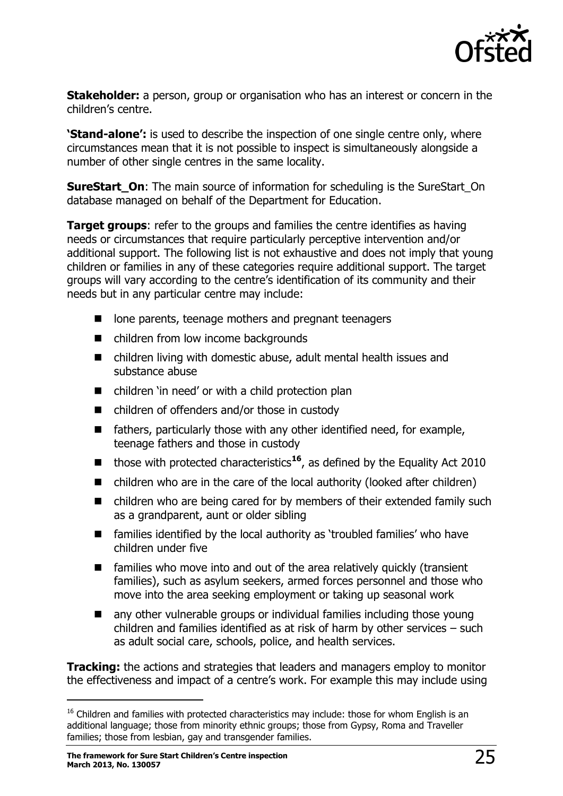

**Stakeholder:** a person, group or organisation who has an interest or concern in the children's centre.

**'Stand-alone':** is used to describe the inspection of one single centre only, where circumstances mean that it is not possible to inspect is simultaneously alongside a number of other single centres in the same locality.

**SureStart On:** The main source of information for scheduling is the SureStart On database managed on behalf of the Department for Education.

**Target groups:** refer to the groups and families the centre identifies as having needs or circumstances that require particularly perceptive intervention and/or additional support. The following list is not exhaustive and does not imply that young children or families in any of these categories require additional support. The target groups will vary according to the centre's identification of its community and their needs but in any particular centre may include:

- lone parents, teenage mothers and pregnant teenagers
- children from low income backgrounds
- children living with domestic abuse, adult mental health issues and substance abuse
- children 'in need' or with a child protection plan
- children of offenders and/or those in custody
- $\blacksquare$  fathers, particularly those with any other identified need, for example, teenage fathers and those in custody
- those with protected characteristics<sup>16</sup>, as defined by the Equality Act 2010
- children who are in the care of the local authority (looked after children)
- children who are being cared for by members of their extended family such as a grandparent, aunt or older sibling
- families identified by the local authority as 'troubled families' who have children under five
- $\blacksquare$  families who move into and out of the area relatively quickly (transient families), such as asylum seekers, armed forces personnel and those who move into the area seeking employment or taking up seasonal work
- any other vulnerable groups or individual families including those young children and families identified as at risk of harm by other services – such as adult social care, schools, police, and health services.

**Tracking:** the actions and strategies that leaders and managers employ to monitor the effectiveness and impact of a centre's work. For example this may include using

 $\overline{a}$ 

<sup>&</sup>lt;sup>16</sup> Children and families with protected characteristics may include: those for whom English is an additional language; those from minority ethnic groups; those from Gypsy, Roma and Traveller families; those from lesbian, gay and transgender families.